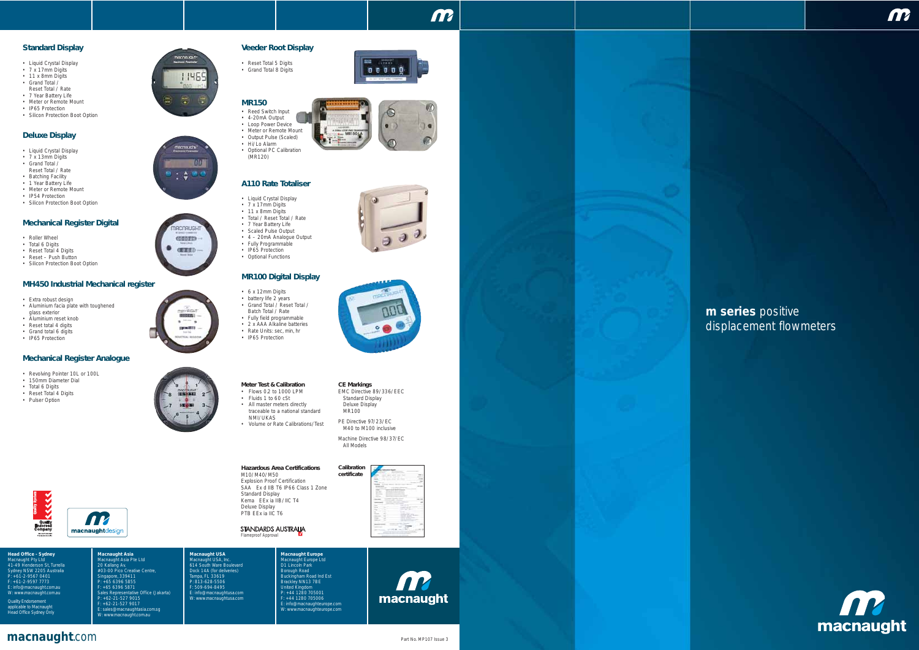### **Veeder Root Display**

• Reset Total 5 Digits • Grand Total 8 Digits

#### **MR150**

11469

**ACTALISTS!** 

 $\frac{1}{2}$  :  $\frac{1}{2}$  in

**ACORUC** CITIED. **保定**机

**UU** 

- Reed Switch Input • 4-20mA Output
- Loop Power Device
- Meter or Remote Mount • Output Pulse (Scaled)
- Hi/Lo Alarm
- Optional PC Calibration (MR120)

#### **A110 Rate Totaliser**

- Liquid Crystal Display
- 7 x 17mm Digits
- 11 x 8mm Digits • Total / Reset Total / Rate
- 7 Year Battery Life
- Scaled Pulse Output
- 4 20mA Analogue Output
- Fully Programmable • IP65 Protection
- Optional Functions

#### **MR100 Digital Display**

#### • 6 x 12mm Digits

- battery life 2 years • Grand Total / Reset Total /
- Batch Total / Rate
- Fully field programmable
- 2 x AAA Alkaline batteries
- Rate Units: sec, min, hr • IP65 Protection
- 
- Extra robust design
- Aluminium facia plate with toughened glass exterior
- Aluminium reset knob
- Reset total 4 digits
- Grand total 6 digits
- IP65 Protection

#### **Standard Display**

- Revolving Pointer 10L or 100L
- 150mm Diameter Dial
- Total 6 Digits
- Reset Total 4 Digits

KKKK

- Liquid Crystal Display
- 7 x 17mm Digits
- $\cdot$  11 x 8mm Digits • Grand Total /
- Reset Total / Rate
- 7 Year Battery Life • Meter or Remote Mount
- IP65 Protection
- Silicon Protection Boot Option

#### **Deluxe Display**

- Liquid Crystal Display
- 7 x 13mm Digits • Grand Total /
- Reset Total / Rate
- Batching Facility
- 1 Year Battery Life • Meter or Remote Mount
- IP54 Protection
- Silicon Protection Boot Option

#### **Mechanical Register Digital**

- Roller Wheel
- Total 6 Digits
- Reset Total 4 Digits
- Reset Push Button • Silicon Protection Boot Option
- 

#### **MH450 Industrial Mechanical register**

M10/M40/M50 Explosion Proof Certification SAA Ex d IIB T6 IP66 Class 1 Zone Standard Display Kema EEx ia IIB/IIC T4 Deluxe Display PTB EEx ia IIC T6

STANDARDS AUSTRALIA Flameproof Approval

#### **Mechanical Register Analogue**

• Pulser Option

**m series** positive displacement flowmeters



**Head Office - Sydney**

Macnaught Pty Ltd 41-49 Henderson St, Turrella Sydney NSW 2205 Australia P: +61-2-9567 0401 F: +61-2-9597 7773

E: info@macnaught.com.au W: www.macnaught.com.au

Quality Endorsement<br>applicable to Macnaught<br>Head Office Sydney Only



**Macnaught Asia** Macnaught Asia Pte Ltd 20 Kallang Av. #03-00 Pico Creative Centre, Singapore, 339411 P: +65 6396 5855 F: +65 6396 5871

**AR** 

macnaughtdesign

Sales Representative Office (Jakarta) P: +62-21-527 9015

E: sales@macnaughtasia.com.sg W: www.macnaught.com.au

**Macnaught USA** Macnaught USA, Inc. 614 South Ware Boulevard Dock 14A (for deliveries)

Tampa, FL 33619 P: 813-628-5506 F: 509-694-8495 E: info@macnaughtusa.com W: www.macnaughtusa.com



**Macnaught Europe** Macnaught Europe Ltd D1 Lincoln Park Buckingham Road<br>Buckingham Road Ind Est<br>Brackley NN13 7BE<br>United Kingdom<br>P: +44 1280 705006<br>F: +44 1280 705006 E: info@macnaughteurope.com W: www.macnaughteurope.com



**CITALS**  $\begin{array}{c} 0 & 0 & 0 & 0 & 0 \\ \end{array}$  m









#### **Hazardous Area Certifications**















PE Directive 97/23/EC M40 to M100 inclusive



Machine Directive 98/37/EC All Models



- Flows 0.2 to 1000 LPM
- Fluids 1 to 60 cSt
- All master meters directly traceable to a national standard NMI/UKAS
- Volume or Rate Calibrations/Test